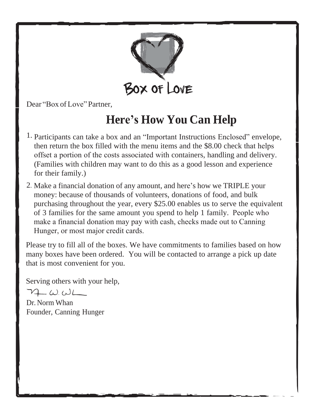

Dear "Box of Love"Partner,

### **Here's How You Can Help**

- 1. Participants can take a box and an "Important Instructions Enclosed" envelope, then return the box filled with the menu items and the \$8.00 check that helps offset a portion of the costs associated with containers, handling and delivery. (Families with children may want to do this as a good lesson and experience for their family.)
- 2. Make a financial donation of any amount, and here's how we TRIPLE your money: because of thousands of volunteers, donations of food, and bulk purchasing throughout the year, every \$25.00 enables us to serve the equivalent of 3 families for the same amount you spend to help 1 family. People who make a financial donation may pay with cash, checks made out to Canning Hunger, or most major credit cards.

Please try to fill all of the boxes. We have commitments to families based on how many boxes have been ordered. You will be contacted to arrange a pick up date that is most convenient for you.

Serving others with your help,

 $72 \omega \omega$ 

Dr. Norm Whan Founder, Canning Hunger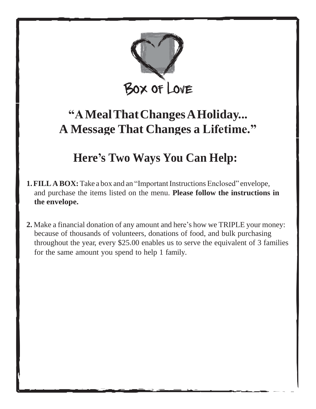

### **"AMealThatChangesAHoliday... A Message That Changes a Lifetime."**

#### **Here's Two Ways You Can Help:**

- **1. FILL A BOX:** Take a box and an "Important Instructions Enclosed" envelope, and purchase the items listed on the menu. **Please follow the instructions in the envelope.**
- **2.** Make a financial donation of any amount and here's how we TRIPLE your money: because of thousands of volunteers, donations of food, and bulk purchasing throughout the year, every \$25.00 enables us to serve the equivalent of 3 families for the same amount you spend to help 1 family.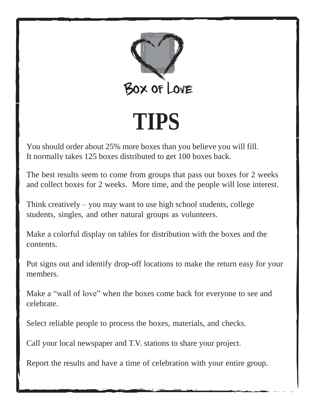

You should order about 25% more boxes than you believe you will fill. It normally takes 125 boxes distributed to get 100 boxes back.

The best results seem to come from groups that pass out boxes for 2 weeks and collect boxes for 2 weeks. More time, and the people will lose interest.

Think creatively – you may want to use high school students, college students, singles, and other natural groups as volunteers.

Make a colorful display on tables for distribution with the boxes and the contents.

Put signs out and identify drop-off locations to make the return easy for your members.

Make a "wall of love" when the boxes come back for everyone to see and celebrate.

Select reliable people to process the boxes, materials, and checks.

Call your local newspaper and T.V. stations to share your project.

Report the results and have a time of celebration with your entire group.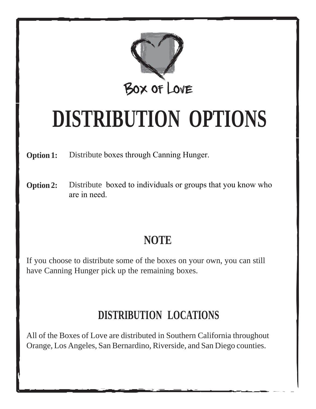

# **DISTRIBUTION OPTIONS**

**Option 1:** Distribute boxes through Canning Hunger.

**Option 2:** Distribute boxed to individuals or groups that you know who are in need.

#### **NOTE**

If you choose to distribute some of the boxes on your own, you can still have Canning Hunger pick up the remaining boxes.

#### **DISTRIBUTION LOCATIONS**

All of the Boxes of Love are distributed in Southern California throughout Orange, Los Angeles, San Bernardino, Riverside, and San Diego counties.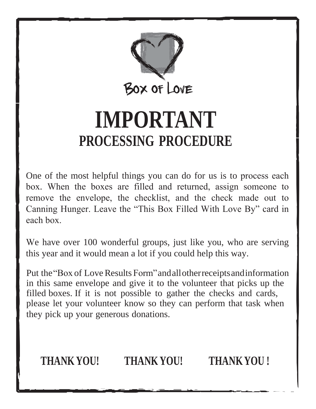

# **IMPORTANT PROCESSING PROCEDURE**

One of the most helpful things you can do for us is to process each box. When the boxes are filled and returned, assign someone to remove the envelope, the checklist, and the check made out to Canning Hunger. Leave the "This Box Filled With Love By" card in each box.

We have over 100 wonderful groups, just like you, who are serving this year and it would mean a lot if you could help this way.

Put the "Box of Love Results Form" and all otherreceipts and information in this same envelope and give it to the volunteer that picks up the filled boxes. If it is not possible to gather the checks and cards, please let your volunteer know so they can perform that task when they pick up your generous donations.



**THANKYOU! THANKYOU! THANKYOU !**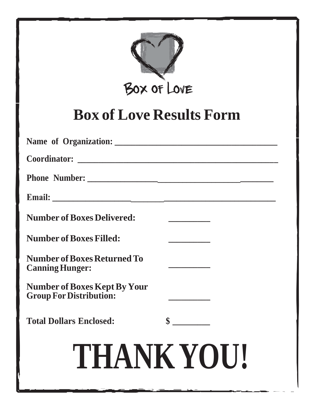

## **Box of Love Results Form**

| <b>Number of Boxes Delivered:</b>                                     |               |
|-----------------------------------------------------------------------|---------------|
| <b>Number of Boxes Filled:</b>                                        |               |
| <b>Number of Boxes Returned To</b><br><b>Canning Hunger:</b>          |               |
| <b>Number of Boxes Kept By Your</b><br><b>Group For Distribution:</b> |               |
| <b>Total Dollars Enclosed:</b>                                        | $\frac{1}{2}$ |
| THANK YOU!                                                            |               |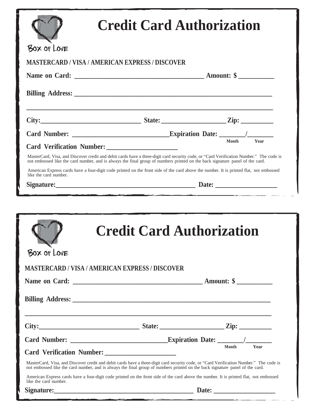| BOX OF LOVE                                            |                                                                                                                                                                                                                                                                         |       |      |
|--------------------------------------------------------|-------------------------------------------------------------------------------------------------------------------------------------------------------------------------------------------------------------------------------------------------------------------------|-------|------|
| <b>MASTERCARD / VISA / AMERICAN EXPRESS / DISCOVER</b> |                                                                                                                                                                                                                                                                         |       |      |
|                                                        |                                                                                                                                                                                                                                                                         |       |      |
|                                                        |                                                                                                                                                                                                                                                                         |       |      |
|                                                        | City: $\qquad \qquad \qquad$ State: $\qquad \qquad$ Zip:                                                                                                                                                                                                                |       |      |
|                                                        |                                                                                                                                                                                                                                                                         |       |      |
|                                                        |                                                                                                                                                                                                                                                                         |       |      |
|                                                        | MasterCard, Visa, and Discover credit and debit cards have a three-digit card security code, or "Card Verification Number." The code is<br>not embossed like the card number, and is always the final group of numbers printed on the back signature panel of the card. |       |      |
| like the card number.                                  | American Express cards have a four-digit code printed on the front side of the card above the number. It is printed flat, not embossed                                                                                                                                  |       |      |
|                                                        |                                                                                                                                                                                                                                                                         |       |      |
|                                                        |                                                                                                                                                                                                                                                                         |       |      |
| BOX OF LOVE                                            | <b>Credit Card Authorization</b>                                                                                                                                                                                                                                        |       |      |
| <b>MASTERCARD / VISA / AMERICAN EXPRESS / DISCOVER</b> |                                                                                                                                                                                                                                                                         |       |      |
|                                                        |                                                                                                                                                                                                                                                                         |       |      |
|                                                        | ,我们也不会有什么。""我们的人,我们也不会有什么?""我们的人,我们也不会有什么?""我们的人,我们的人,我们也不会有什么?""我们的人,我们的人,我们的人,                                                                                                                                                                                        |       |      |
|                                                        |                                                                                                                                                                                                                                                                         |       |      |
|                                                        |                                                                                                                                                                                                                                                                         | Month | Year |
|                                                        | MasterCard, Visa, and Discover credit and debit cards have a three-digit card security code, or "Card Verification Number." The code is<br>not embossed like the card number, and is always the final group of numbers printed on the back signature panel of the card. |       |      |
| like the card number.                                  | American Express cards have a four-digit code printed on the front side of the card above the number. It is printed flat, not embossed                                                                                                                                  |       |      |